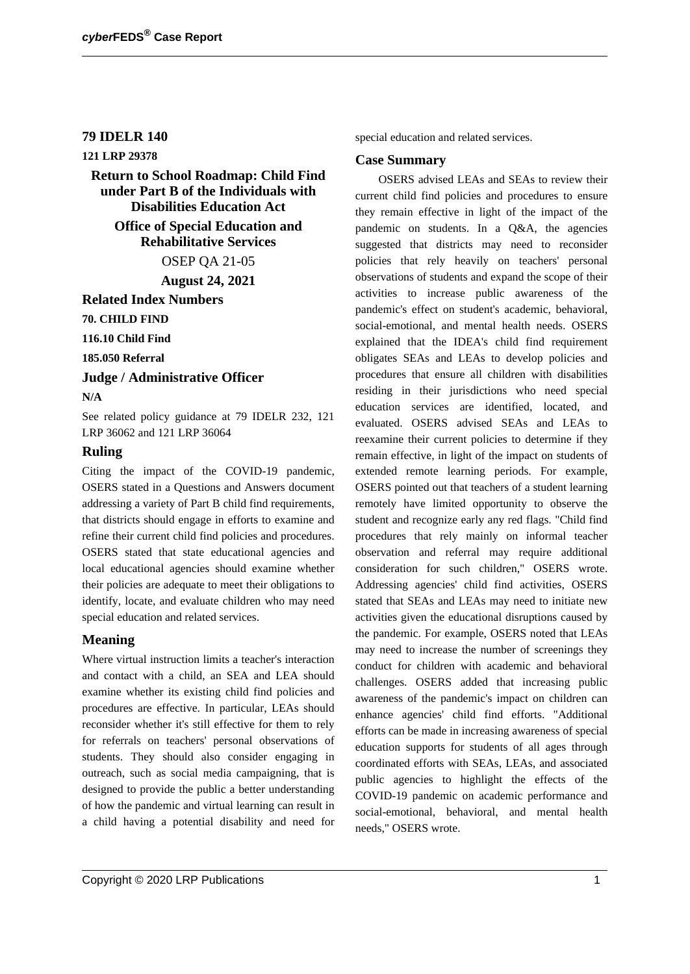## **79 IDELR 140**

# **121 LRP 29378**

**Return to School Roadmap: Child Find under Part B of the Individuals with Disabilities Education Act**

> **Office of Special Education and Rehabilitative Services**

> > OSEP QA 21-05

**August 24, 2021**

**Related Index Numbers**

**70. CHILD FIND**

**116.10 Child Find**

**185.050 Referral**

#### **Judge / Administrative Officer**

**N/A**

See related policy guidance at 79 IDELR 232, 121 LRP 36062 and 121 LRP 36064

#### **Ruling**

Citing the impact of the COVID-19 pandemic, OSERS stated in a Questions and Answers document addressing a variety of Part B child find requirements, that districts should engage in efforts to examine and refine their current child find policies and procedures. OSERS stated that state educational agencies and local educational agencies should examine whether their policies are adequate to meet their obligations to identify, locate, and evaluate children who may need special education and related services.

## **Meaning**

Where virtual instruction limits a teacher's interaction and contact with a child, an SEA and LEA should examine whether its existing child find policies and procedures are effective. In particular, LEAs should reconsider whether it's still effective for them to rely for referrals on teachers' personal observations of students. They should also consider engaging in outreach, such as social media campaigning, that is designed to provide the public a better understanding of how the pandemic and virtual learning can result in a child having a potential disability and need for

special education and related services.

#### **Case Summary**

OSERS advised LEAs and SEAs to review their current child find policies and procedures to ensure they remain effective in light of the impact of the pandemic on students. In a Q&A, the agencies suggested that districts may need to reconsider policies that rely heavily on teachers' personal observations of students and expand the scope of their activities to increase public awareness of the pandemic's effect on student's academic, behavioral, social-emotional, and mental health needs. OSERS explained that the IDEA's child find requirement obligates SEAs and LEAs to develop policies and procedures that ensure all children with disabilities residing in their jurisdictions who need special education services are identified, located, and evaluated. OSERS advised SEAs and LEAs to reexamine their current policies to determine if they remain effective, in light of the impact on students of extended remote learning periods. For example, OSERS pointed out that teachers of a student learning remotely have limited opportunity to observe the student and recognize early any red flags. "Child find procedures that rely mainly on informal teacher observation and referral may require additional consideration for such children," OSERS wrote. Addressing agencies' child find activities, OSERS stated that SEAs and LEAs may need to initiate new activities given the educational disruptions caused by the pandemic. For example, OSERS noted that LEAs may need to increase the number of screenings they conduct for children with academic and behavioral challenges. OSERS added that increasing public awareness of the pandemic's impact on children can enhance agencies' child find efforts. "Additional efforts can be made in increasing awareness of special education supports for students of all ages through coordinated efforts with SEAs, LEAs, and associated public agencies to highlight the effects of the COVID-19 pandemic on academic performance and social-emotional, behavioral, and mental health needs," OSERS wrote.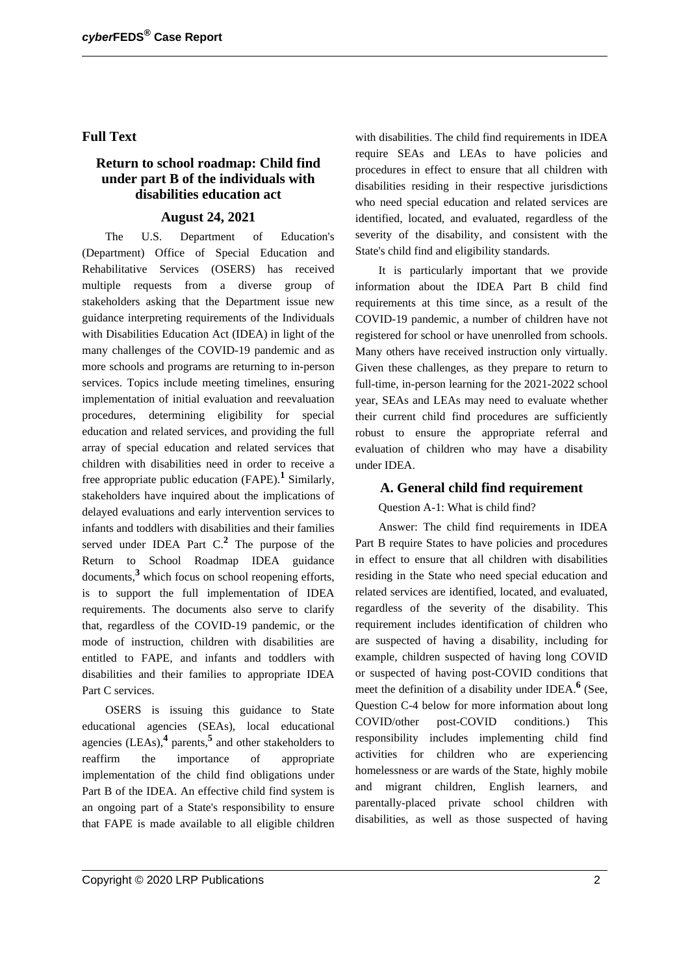### **Full Text**

## **Return to school roadmap: Child find under part B of the individuals with disabilities education act**

### **August 24, 2021**

The U.S. Department of Education's (Department) Office of Special Education and Rehabilitative Services (OSERS) has received multiple requests from a diverse group of stakeholders asking that the Department issue new guidance interpreting requirements of the Individuals with Disabilities Education Act (IDEA) in light of the many challenges of the COVID-19 pandemic and as more schools and programs are returning to in-person services. Topics include meeting timelines, ensuring implementation of initial evaluation and reevaluation procedures, determining eligibility for special education and related services, and providing the full array of special education and related services that children with disabilities need in order to receive a free appropriate public education (FAPE).**<sup>1</sup>** Similarly, stakeholders have inquired about the implications of delayed evaluations and early intervention services to infants and toddlers with disabilities and their families served under IDEA Part C.**<sup>2</sup>** The purpose of the Return to School Roadmap IDEA guidance documents,**<sup>3</sup>** which focus on school reopening efforts, is to support the full implementation of IDEA requirements. The documents also serve to clarify that, regardless of the COVID-19 pandemic, or the mode of instruction, children with disabilities are entitled to FAPE, and infants and toddlers with disabilities and their families to appropriate IDEA Part C services.

OSERS is issuing this guidance to State educational agencies (SEAs), local educational agencies (LEAs),**<sup>4</sup>** parents,**<sup>5</sup>** and other stakeholders to reaffirm the importance of appropriate implementation of the child find obligations under Part B of the IDEA. An effective child find system is an ongoing part of a State's responsibility to ensure that FAPE is made available to all eligible children

with disabilities. The child find requirements in IDEA require SEAs and LEAs to have policies and procedures in effect to ensure that all children with disabilities residing in their respective jurisdictions who need special education and related services are identified, located, and evaluated, regardless of the severity of the disability, and consistent with the State's child find and eligibility standards.

It is particularly important that we provide information about the IDEA Part B child find requirements at this time since, as a result of the COVID-19 pandemic, a number of children have not registered for school or have unenrolled from schools. Many others have received instruction only virtually. Given these challenges, as they prepare to return to full-time, in-person learning for the 2021-2022 school year, SEAs and LEAs may need to evaluate whether their current child find procedures are sufficiently robust to ensure the appropriate referral and evaluation of children who may have a disability under IDEA.

### **A. General child find requirement**

Question A-1: What is child find?

Answer: The child find requirements in IDEA Part B require States to have policies and procedures in effect to ensure that all children with disabilities residing in the State who need special education and related services are identified, located, and evaluated, regardless of the severity of the disability. This requirement includes identification of children who are suspected of having a disability, including for example, children suspected of having long COVID or suspected of having post-COVID conditions that meet the definition of a disability under IDEA.**<sup>6</sup>** (See, Question C-4 below for more information about long COVID/other post-COVID conditions.) This responsibility includes implementing child find activities for children who are experiencing homelessness or are wards of the State, highly mobile and migrant children, English learners, and parentally-placed private school children with disabilities, as well as those suspected of having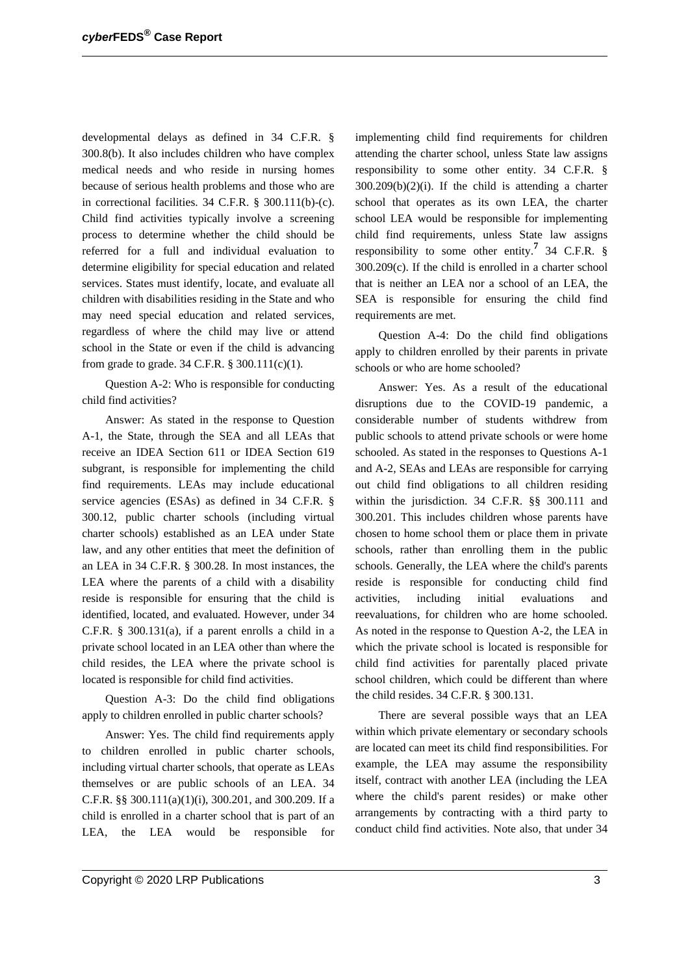developmental delays as defined in 34 C.F.R. § 300.8(b). It also includes children who have complex medical needs and who reside in nursing homes because of serious health problems and those who are in correctional facilities. 34 C.F.R. § 300.111(b)-(c). Child find activities typically involve a screening process to determine whether the child should be referred for a full and individual evaluation to determine eligibility for special education and related services. States must identify, locate, and evaluate all children with disabilities residing in the State and who may need special education and related services, regardless of where the child may live or attend school in the State or even if the child is advancing from grade to grade. 34 C.F.R. § 300.111(c)(1).

Question A-2: Who is responsible for conducting child find activities?

Answer: As stated in the response to Question A-1, the State, through the SEA and all LEAs that receive an IDEA Section 611 or IDEA Section 619 subgrant, is responsible for implementing the child find requirements. LEAs may include educational service agencies (ESAs) as defined in 34 C.F.R. § 300.12, public charter schools (including virtual charter schools) established as an LEA under State law, and any other entities that meet the definition of an LEA in 34 C.F.R. § 300.28. In most instances, the LEA where the parents of a child with a disability reside is responsible for ensuring that the child is identified, located, and evaluated. However, under 34 C.F.R. § 300.131(a), if a parent enrolls a child in a private school located in an LEA other than where the child resides, the LEA where the private school is located is responsible for child find activities.

Question A-3: Do the child find obligations apply to children enrolled in public charter schools?

Answer: Yes. The child find requirements apply to children enrolled in public charter schools, including virtual charter schools, that operate as LEAs themselves or are public schools of an LEA. 34 C.F.R. §§ 300.111(a)(1)(i), 300.201, and 300.209. If a child is enrolled in a charter school that is part of an LEA, the LEA would be responsible for implementing child find requirements for children attending the charter school, unless State law assigns responsibility to some other entity. 34 C.F.R. §  $300.209(b)(2)(i)$ . If the child is attending a charter school that operates as its own LEA, the charter school LEA would be responsible for implementing child find requirements, unless State law assigns responsibility to some other entity.**<sup>7</sup>** 34 C.F.R. § 300.209(c). If the child is enrolled in a charter school that is neither an LEA nor a school of an LEA, the SEA is responsible for ensuring the child find requirements are met.

Question A-4: Do the child find obligations apply to children enrolled by their parents in private schools or who are home schooled?

Answer: Yes. As a result of the educational disruptions due to the COVID-19 pandemic, a considerable number of students withdrew from public schools to attend private schools or were home schooled. As stated in the responses to Questions A-1 and A-2, SEAs and LEAs are responsible for carrying out child find obligations to all children residing within the jurisdiction. 34 C.F.R. §§ 300.111 and 300.201. This includes children whose parents have chosen to home school them or place them in private schools, rather than enrolling them in the public schools. Generally, the LEA where the child's parents reside is responsible for conducting child find activities, including initial evaluations and reevaluations, for children who are home schooled. As noted in the response to Question A-2, the LEA in which the private school is located is responsible for child find activities for parentally placed private school children, which could be different than where the child resides. 34 C.F.R. § 300.131.

There are several possible ways that an LEA within which private elementary or secondary schools are located can meet its child find responsibilities. For example, the LEA may assume the responsibility itself, contract with another LEA (including the LEA where the child's parent resides) or make other arrangements by contracting with a third party to conduct child find activities. Note also, that under 34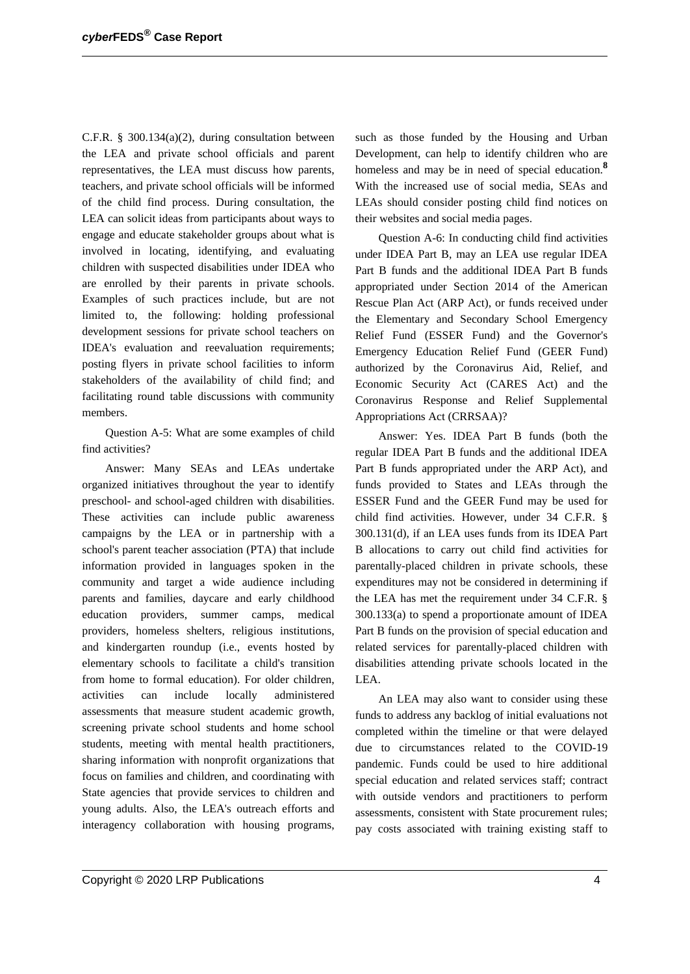C.F.R. § 300.134(a)(2), during consultation between the LEA and private school officials and parent representatives, the LEA must discuss how parents, teachers, and private school officials will be informed of the child find process. During consultation, the LEA can solicit ideas from participants about ways to engage and educate stakeholder groups about what is involved in locating, identifying, and evaluating children with suspected disabilities under IDEA who are enrolled by their parents in private schools. Examples of such practices include, but are not limited to, the following: holding professional development sessions for private school teachers on IDEA's evaluation and reevaluation requirements; posting flyers in private school facilities to inform stakeholders of the availability of child find; and facilitating round table discussions with community members.

Question A-5: What are some examples of child find activities?

Answer: Many SEAs and LEAs undertake organized initiatives throughout the year to identify preschool- and school-aged children with disabilities. These activities can include public awareness campaigns by the LEA or in partnership with a school's parent teacher association (PTA) that include information provided in languages spoken in the community and target a wide audience including parents and families, daycare and early childhood education providers, summer camps, medical providers, homeless shelters, religious institutions, and kindergarten roundup (i.e., events hosted by elementary schools to facilitate a child's transition from home to formal education). For older children, activities can include locally administered assessments that measure student academic growth, screening private school students and home school students, meeting with mental health practitioners, sharing information with nonprofit organizations that focus on families and children, and coordinating with State agencies that provide services to children and young adults. Also, the LEA's outreach efforts and interagency collaboration with housing programs,

such as those funded by the Housing and Urban Development, can help to identify children who are homeless and may be in need of special education.**<sup>8</sup>** With the increased use of social media, SEAs and LEAs should consider posting child find notices on their websites and social media pages.

Question A-6: In conducting child find activities under IDEA Part B, may an LEA use regular IDEA Part B funds and the additional IDEA Part B funds appropriated under Section 2014 of the American Rescue Plan Act (ARP Act), or funds received under the Elementary and Secondary School Emergency Relief Fund (ESSER Fund) and the Governor's Emergency Education Relief Fund (GEER Fund) authorized by the Coronavirus Aid, Relief, and Economic Security Act (CARES Act) and the Coronavirus Response and Relief Supplemental Appropriations Act (CRRSAA)?

Answer: Yes. IDEA Part B funds (both the regular IDEA Part B funds and the additional IDEA Part B funds appropriated under the ARP Act), and funds provided to States and LEAs through the ESSER Fund and the GEER Fund may be used for child find activities. However, under 34 C.F.R. § 300.131(d), if an LEA uses funds from its IDEA Part B allocations to carry out child find activities for parentally-placed children in private schools, these expenditures may not be considered in determining if the LEA has met the requirement under 34 C.F.R. § 300.133(a) to spend a proportionate amount of IDEA Part B funds on the provision of special education and related services for parentally-placed children with disabilities attending private schools located in the LEA.

An LEA may also want to consider using these funds to address any backlog of initial evaluations not completed within the timeline or that were delayed due to circumstances related to the COVID-19 pandemic. Funds could be used to hire additional special education and related services staff; contract with outside vendors and practitioners to perform assessments, consistent with State procurement rules; pay costs associated with training existing staff to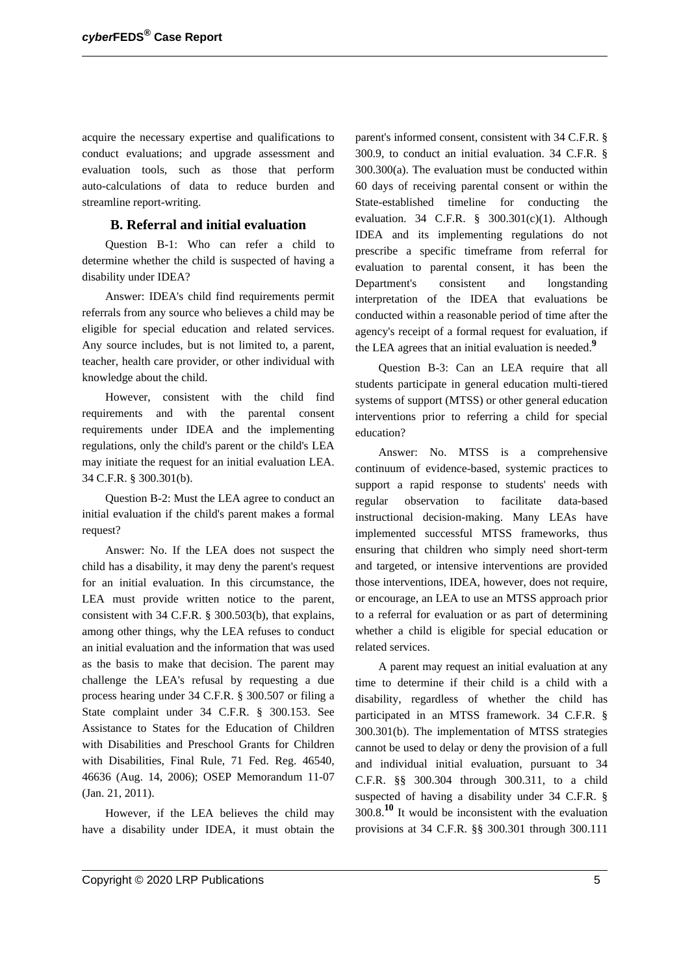acquire the necessary expertise and qualifications to conduct evaluations; and upgrade assessment and evaluation tools, such as those that perform auto-calculations of data to reduce burden and streamline report-writing.

### **B. Referral and initial evaluation**

Question B-1: Who can refer a child to determine whether the child is suspected of having a disability under IDEA?

Answer: IDEA's child find requirements permit referrals from any source who believes a child may be eligible for special education and related services. Any source includes, but is not limited to, a parent, teacher, health care provider, or other individual with knowledge about the child.

However, consistent with the child find requirements and with the parental consent requirements under IDEA and the implementing regulations, only the child's parent or the child's LEA may initiate the request for an initial evaluation LEA. 34 C.F.R. § 300.301(b).

Question B-2: Must the LEA agree to conduct an initial evaluation if the child's parent makes a formal request?

Answer: No. If the LEA does not suspect the child has a disability, it may deny the parent's request for an initial evaluation. In this circumstance, the LEA must provide written notice to the parent, consistent with 34 C.F.R. § 300.503(b), that explains, among other things, why the LEA refuses to conduct an initial evaluation and the information that was used as the basis to make that decision. The parent may challenge the LEA's refusal by requesting a due process hearing under 34 C.F.R. § 300.507 or filing a State complaint under 34 C.F.R. § 300.153. See Assistance to States for the Education of Children with Disabilities and Preschool Grants for Children with Disabilities, Final Rule, 71 Fed. Reg. 46540, 46636 (Aug. 14, 2006); OSEP Memorandum 11-07 (Jan. 21, 2011).

However, if the LEA believes the child may have a disability under IDEA, it must obtain the

parent's informed consent, consistent with 34 C.F.R. § 300.9, to conduct an initial evaluation. 34 C.F.R. § 300.300(a). The evaluation must be conducted within 60 days of receiving parental consent or within the State-established timeline for conducting the evaluation. 34 C.F.R.  $§$  300.301(c)(1). Although IDEA and its implementing regulations do not prescribe a specific timeframe from referral for evaluation to parental consent, it has been the Department's consistent and longstanding interpretation of the IDEA that evaluations be conducted within a reasonable period of time after the agency's receipt of a formal request for evaluation, if the LEA agrees that an initial evaluation is needed.**<sup>9</sup>**

Question B-3: Can an LEA require that all students participate in general education multi-tiered systems of support (MTSS) or other general education interventions prior to referring a child for special education?

Answer: No. MTSS is a comprehensive continuum of evidence-based, systemic practices to support a rapid response to students' needs with regular observation to facilitate data-based instructional decision-making. Many LEAs have implemented successful MTSS frameworks, thus ensuring that children who simply need short-term and targeted, or intensive interventions are provided those interventions, IDEA, however, does not require, or encourage, an LEA to use an MTSS approach prior to a referral for evaluation or as part of determining whether a child is eligible for special education or related services.

A parent may request an initial evaluation at any time to determine if their child is a child with a disability, regardless of whether the child has participated in an MTSS framework. 34 C.F.R. § 300.301(b). The implementation of MTSS strategies cannot be used to delay or deny the provision of a full and individual initial evaluation, pursuant to 34 C.F.R. §§ 300.304 through 300.311, to a child suspected of having a disability under 34 C.F.R. § 300.8.**<sup>10</sup>** It would be inconsistent with the evaluation provisions at 34 C.F.R. §§ 300.301 through 300.111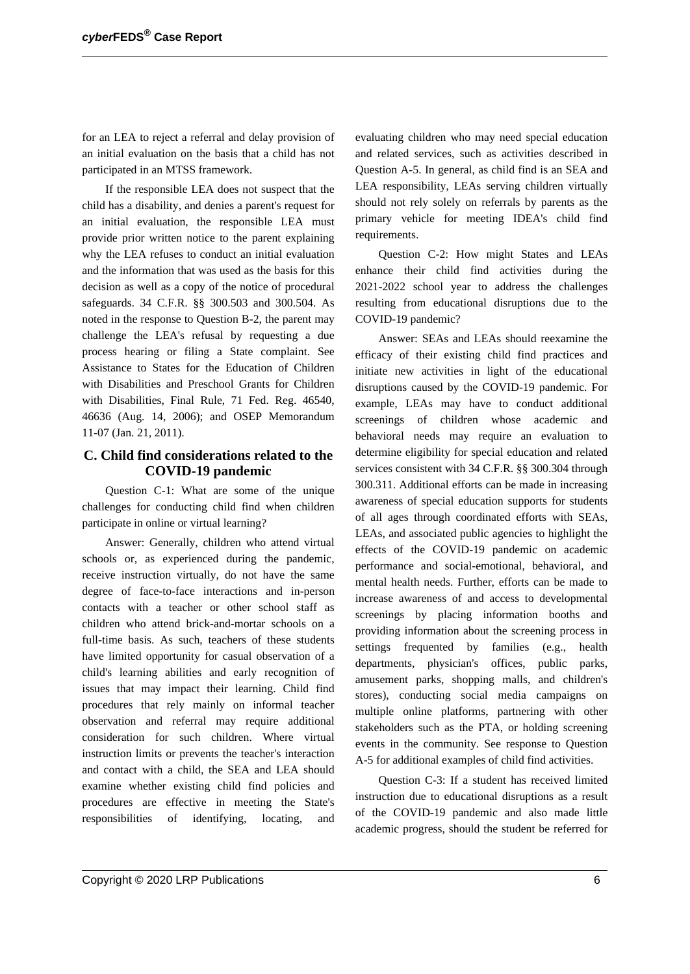for an LEA to reject a referral and delay provision of an initial evaluation on the basis that a child has not participated in an MTSS framework.

If the responsible LEA does not suspect that the child has a disability, and denies a parent's request for an initial evaluation, the responsible LEA must provide prior written notice to the parent explaining why the LEA refuses to conduct an initial evaluation and the information that was used as the basis for this decision as well as a copy of the notice of procedural safeguards. 34 C.F.R. §§ 300.503 and 300.504. As noted in the response to Question B-2, the parent may challenge the LEA's refusal by requesting a due process hearing or filing a State complaint. See Assistance to States for the Education of Children with Disabilities and Preschool Grants for Children with Disabilities, Final Rule, 71 Fed. Reg. 46540, 46636 (Aug. 14, 2006); and OSEP Memorandum 11-07 (Jan. 21, 2011).

## **C. Child find considerations related to the COVID-19 pandemic**

Question C-1: What are some of the unique challenges for conducting child find when children participate in online or virtual learning?

Answer: Generally, children who attend virtual schools or, as experienced during the pandemic, receive instruction virtually, do not have the same degree of face-to-face interactions and in-person contacts with a teacher or other school staff as children who attend brick-and-mortar schools on a full-time basis. As such, teachers of these students have limited opportunity for casual observation of a child's learning abilities and early recognition of issues that may impact their learning. Child find procedures that rely mainly on informal teacher observation and referral may require additional consideration for such children. Where virtual instruction limits or prevents the teacher's interaction and contact with a child, the SEA and LEA should examine whether existing child find policies and procedures are effective in meeting the State's responsibilities of identifying, locating, and

evaluating children who may need special education and related services, such as activities described in Question A-5. In general, as child find is an SEA and LEA responsibility, LEAs serving children virtually should not rely solely on referrals by parents as the primary vehicle for meeting IDEA's child find requirements.

Question C-2: How might States and LEAs enhance their child find activities during the 2021-2022 school year to address the challenges resulting from educational disruptions due to the COVID-19 pandemic?

Answer: SEAs and LEAs should reexamine the efficacy of their existing child find practices and initiate new activities in light of the educational disruptions caused by the COVID-19 pandemic. For example, LEAs may have to conduct additional screenings of children whose academic and behavioral needs may require an evaluation to determine eligibility for special education and related services consistent with 34 C.F.R. §§ 300.304 through 300.311. Additional efforts can be made in increasing awareness of special education supports for students of all ages through coordinated efforts with SEAs, LEAs, and associated public agencies to highlight the effects of the COVID-19 pandemic on academic performance and social-emotional, behavioral, and mental health needs. Further, efforts can be made to increase awareness of and access to developmental screenings by placing information booths and providing information about the screening process in settings frequented by families (e.g., health departments, physician's offices, public parks, amusement parks, shopping malls, and children's stores), conducting social media campaigns on multiple online platforms, partnering with other stakeholders such as the PTA, or holding screening events in the community. See response to Question A-5 for additional examples of child find activities.

Question C-3: If a student has received limited instruction due to educational disruptions as a result of the COVID-19 pandemic and also made little academic progress, should the student be referred for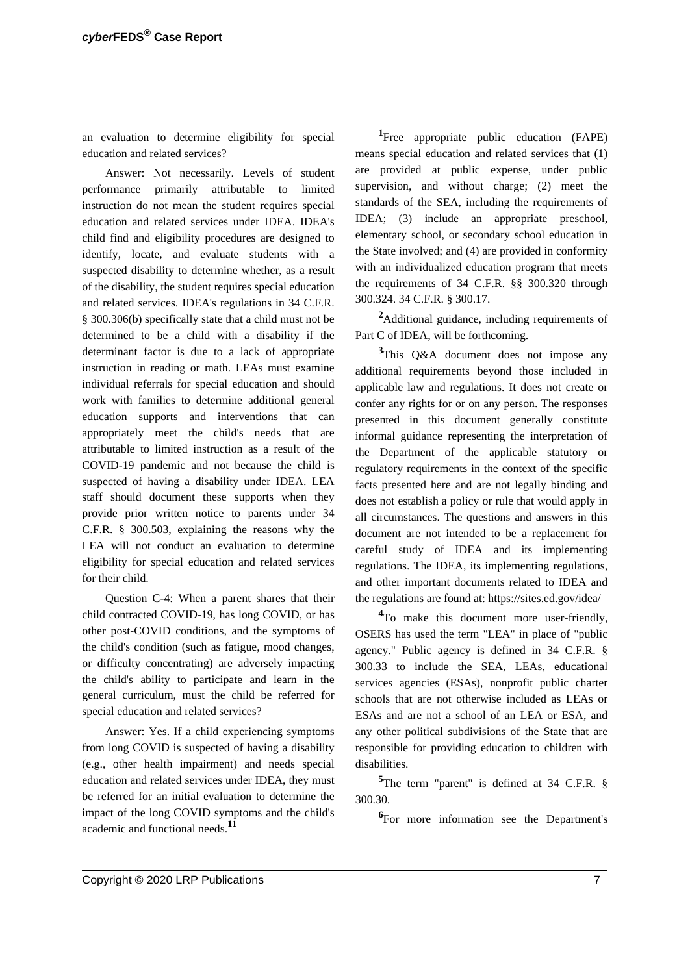an evaluation to determine eligibility for special education and related services?

Answer: Not necessarily. Levels of student performance primarily attributable to limited instruction do not mean the student requires special education and related services under IDEA. IDEA's child find and eligibility procedures are designed to identify, locate, and evaluate students with a suspected disability to determine whether, as a result of the disability, the student requires special education and related services. IDEA's regulations in 34 C.F.R. § 300.306(b) specifically state that a child must not be determined to be a child with a disability if the determinant factor is due to a lack of appropriate instruction in reading or math. LEAs must examine individual referrals for special education and should work with families to determine additional general education supports and interventions that can appropriately meet the child's needs that are attributable to limited instruction as a result of the COVID-19 pandemic and not because the child is suspected of having a disability under IDEA. LEA staff should document these supports when they provide prior written notice to parents under 34 C.F.R. § 300.503, explaining the reasons why the LEA will not conduct an evaluation to determine eligibility for special education and related services for their child.

Question C-4: When a parent shares that their child contracted COVID-19, has long COVID, or has other post-COVID conditions, and the symptoms of the child's condition (such as fatigue, mood changes, or difficulty concentrating) are adversely impacting the child's ability to participate and learn in the general curriculum, must the child be referred for special education and related services?

Answer: Yes. If a child experiencing symptoms from long COVID is suspected of having a disability (e.g., other health impairment) and needs special education and related services under IDEA, they must be referred for an initial evaluation to determine the impact of the long COVID symptoms and the child's academic and functional needs.**<sup>11</sup>**

<sup>1</sup>Free appropriate public education (FAPE) means special education and related services that (1) are provided at public expense, under public supervision, and without charge; (2) meet the standards of the SEA, including the requirements of IDEA; (3) include an appropriate preschool, elementary school, or secondary school education in the State involved; and (4) are provided in conformity with an individualized education program that meets the requirements of 34 C.F.R. §§ 300.320 through 300.324. 34 C.F.R. § 300.17.

**<sup>2</sup>**Additional guidance, including requirements of Part C of IDEA, will be forthcoming.

**<sup>3</sup>**This Q&A document does not impose any additional requirements beyond those included in applicable law and regulations. It does not create or confer any rights for or on any person. The responses presented in this document generally constitute informal guidance representing the interpretation of the Department of the applicable statutory or regulatory requirements in the context of the specific facts presented here and are not legally binding and does not establish a policy or rule that would apply in all circumstances. The questions and answers in this document are not intended to be a replacement for careful study of IDEA and its implementing regulations. The IDEA, its implementing regulations, and other important documents related to IDEA and the regulations are found at: https://sites.ed.gov/idea/

<sup>4</sup>To make this document more user-friendly, OSERS has used the term "LEA" in place of "public agency." Public agency is defined in 34 C.F.R. § 300.33 to include the SEA, LEAs, educational services agencies (ESAs), nonprofit public charter schools that are not otherwise included as LEAs or ESAs and are not a school of an LEA or ESA, and any other political subdivisions of the State that are responsible for providing education to children with disabilities.

**<sup>5</sup>**The term "parent" is defined at 34 C.F.R. § 300.30.

<sup>6</sup>For more information see the Department's